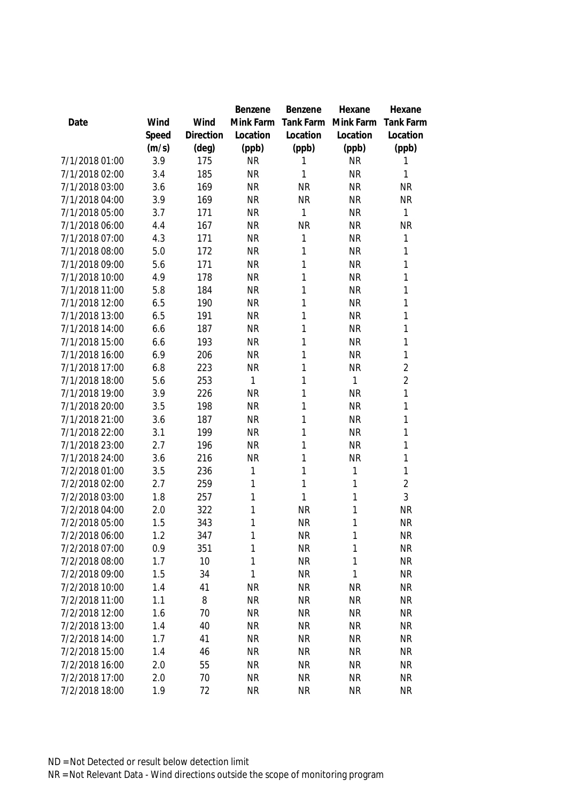|                |       |           | Benzene   | Benzene   | Hexane       | Hexane           |
|----------------|-------|-----------|-----------|-----------|--------------|------------------|
| Date           | Wind  | Wind      | Mink Farm | Tank Farm | Mink Farm    | <b>Tank Farm</b> |
|                | Speed | Direction | Location  | Location  | Location     | Location         |
|                | (m/s) | (deg)     | (ppb)     | (ppb)     | (ppb)        | (ppb)            |
| 7/1/2018 01:00 | 3.9   | 175       | <b>NR</b> | 1         | <b>NR</b>    | 1                |
| 7/1/2018 02:00 | 3.4   | 185       | <b>NR</b> | 1         | <b>NR</b>    | 1                |
| 7/1/2018 03:00 | 3.6   | 169       | <b>NR</b> | <b>NR</b> | <b>NR</b>    | <b>NR</b>        |
| 7/1/2018 04:00 | 3.9   | 169       | <b>NR</b> | <b>NR</b> | <b>NR</b>    | <b>NR</b>        |
| 7/1/2018 05:00 | 3.7   | 171       | <b>NR</b> | 1         | <b>NR</b>    | 1                |
| 7/1/2018 06:00 | 4.4   | 167       | <b>NR</b> | <b>NR</b> | <b>NR</b>    | <b>NR</b>        |
| 7/1/2018 07:00 | 4.3   | 171       | <b>NR</b> | 1         | <b>NR</b>    | 1                |
| 7/1/2018 08:00 | 5.0   | 172       | <b>NR</b> | 1         | <b>NR</b>    | 1                |
| 7/1/2018 09:00 | 5.6   | 171       | <b>NR</b> | 1         | <b>NR</b>    | 1                |
| 7/1/2018 10:00 | 4.9   | 178       | <b>NR</b> | 1         | <b>NR</b>    | 1                |
| 7/1/2018 11:00 | 5.8   | 184       | <b>NR</b> | 1         | <b>NR</b>    | 1                |
| 7/1/2018 12:00 | 6.5   | 190       | <b>NR</b> | 1         | <b>NR</b>    | 1                |
| 7/1/2018 13:00 | 6.5   | 191       | <b>NR</b> | 1         | <b>NR</b>    | 1                |
| 7/1/2018 14:00 | 6.6   | 187       | <b>NR</b> | 1         | <b>NR</b>    | 1                |
| 7/1/2018 15:00 | 6.6   | 193       | <b>NR</b> | 1         | <b>NR</b>    | 1                |
| 7/1/2018 16:00 | 6.9   | 206       | <b>NR</b> | 1         | <b>NR</b>    | 1                |
| 7/1/2018 17:00 | 6.8   | 223       | <b>NR</b> | 1         | <b>NR</b>    | $\overline{2}$   |
| 7/1/2018 18:00 | 5.6   | 253       | 1         | 1         | 1            | $\overline{2}$   |
| 7/1/2018 19:00 | 3.9   | 226       | <b>NR</b> | 1         | <b>NR</b>    | 1                |
| 7/1/2018 20:00 | 3.5   | 198       | <b>NR</b> | 1         | <b>NR</b>    | 1                |
| 7/1/2018 21:00 | 3.6   | 187       | <b>NR</b> | 1         | <b>NR</b>    | 1                |
| 7/1/2018 22:00 | 3.1   | 199       | <b>NR</b> | 1         | <b>NR</b>    | 1                |
| 7/1/2018 23:00 | 2.7   | 196       | <b>NR</b> | 1         | <b>NR</b>    | 1                |
| 7/1/2018 24:00 | 3.6   | 216       | <b>NR</b> | 1         | <b>NR</b>    | 1                |
| 7/2/2018 01:00 | 3.5   | 236       | 1         | 1         | $\mathbf{1}$ | 1                |
| 7/2/2018 02:00 | 2.7   | 259       | 1         | 1         | 1            | $\overline{2}$   |
| 7/2/2018 03:00 | 1.8   | 257       | 1         | 1         | 1            | 3                |
| 7/2/2018 04:00 | 2.0   | 322       | 1         | <b>NR</b> | 1            | <b>NR</b>        |
| 7/2/2018 05:00 | 1.5   | 343       | 1         | <b>NR</b> | 1            | <b>NR</b>        |
| 7/2/2018 06:00 | 1.2   | 347       | 1         | <b>NR</b> | 1            | <b>NR</b>        |
| 7/2/2018 07:00 | 0.9   | 351       | 1         | <b>NR</b> | 1            | <b>NR</b>        |
| 7/2/2018 08:00 | 1.7   | 10        | 1         | <b>NR</b> | $\mathbf{1}$ | <b>NR</b>        |
| 7/2/2018 09:00 | 1.5   | 34        | 1         | <b>NR</b> | $\mathbf{1}$ | <b>NR</b>        |
| 7/2/2018 10:00 | 1.4   | 41        | <b>NR</b> | <b>NR</b> | <b>NR</b>    | <b>NR</b>        |
| 7/2/2018 11:00 | 1.1   | 8         | <b>NR</b> | <b>NR</b> | <b>NR</b>    | <b>NR</b>        |
| 7/2/2018 12:00 | 1.6   | 70        | <b>NR</b> | <b>NR</b> | <b>NR</b>    | <b>NR</b>        |
| 7/2/2018 13:00 | 1.4   | 40        | <b>NR</b> | <b>NR</b> |              |                  |
|                |       |           |           |           | <b>NR</b>    | <b>NR</b>        |
| 7/2/2018 14:00 | 1.7   | 41        | <b>NR</b> | <b>NR</b> | <b>NR</b>    | <b>NR</b>        |
| 7/2/2018 15:00 | 1.4   | 46        | <b>NR</b> | <b>NR</b> | <b>NR</b>    | <b>NR</b>        |
| 7/2/2018 16:00 | 2.0   | 55        | <b>NR</b> | <b>NR</b> | <b>NR</b>    | <b>NR</b>        |
| 7/2/2018 17:00 | 2.0   | 70        | <b>NR</b> | <b>NR</b> | <b>NR</b>    | <b>NR</b>        |
| 7/2/2018 18:00 | 1.9   | 72        | <b>NR</b> | <b>NR</b> | <b>NR</b>    | <b>NR</b>        |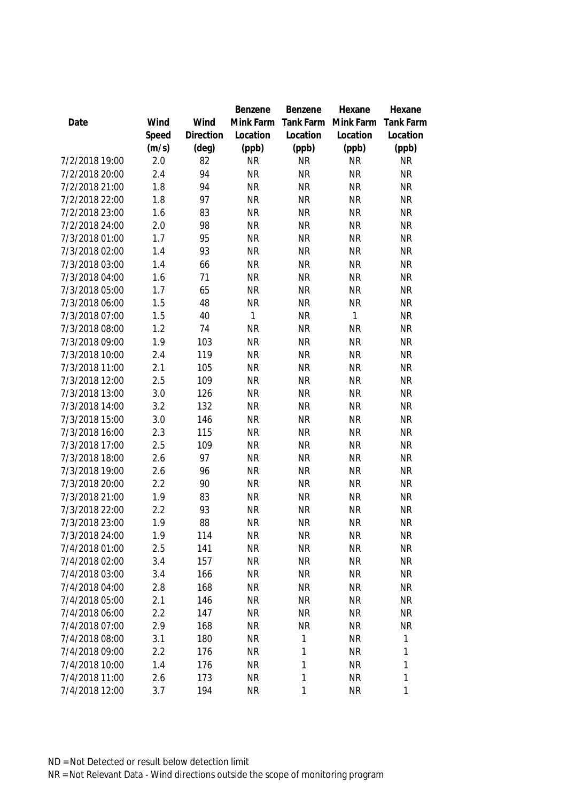|                |       |           | Benzene      | Benzene   | Hexane       | Hexane                 |
|----------------|-------|-----------|--------------|-----------|--------------|------------------------|
| Date           | Wind  | Wind      | Mink Farm    | Tank Farm | Mink Farm    | <b>Tank Farm</b>       |
|                | Speed | Direction | Location     | Location  | Location     | Location               |
|                | (m/s) | (deg)     | (ppb)        | (ppb)     | (ppb)        | (ppb)                  |
| 7/2/2018 19:00 | 2.0   | 82        | <b>NR</b>    | <b>NR</b> | <b>NR</b>    | <b>NR</b>              |
| 7/2/2018 20:00 | 2.4   | 94        | <b>NR</b>    | <b>NR</b> | <b>NR</b>    | <b>NR</b>              |
| 7/2/2018 21:00 | 1.8   | 94        | <b>NR</b>    | <b>NR</b> | <b>NR</b>    | <b>NR</b>              |
| 7/2/2018 22:00 | 1.8   | 97        | <b>NR</b>    | <b>NR</b> | <b>NR</b>    | <b>NR</b>              |
| 7/2/2018 23:00 | 1.6   | 83        | <b>NR</b>    | <b>NR</b> | <b>NR</b>    | <b>NR</b>              |
| 7/2/2018 24:00 | 2.0   | 98        | <b>NR</b>    | <b>NR</b> | <b>NR</b>    | <b>NR</b>              |
| 7/3/2018 01:00 | 1.7   | 95        | <b>NR</b>    | <b>NR</b> | <b>NR</b>    | <b>NR</b>              |
| 7/3/2018 02:00 | 1.4   | 93        | <b>NR</b>    | <b>NR</b> | <b>NR</b>    | <b>NR</b>              |
| 7/3/2018 03:00 | 1.4   | 66        | <b>NR</b>    | <b>NR</b> | <b>NR</b>    | <b>NR</b>              |
| 7/3/2018 04:00 | 1.6   | 71        | <b>NR</b>    | <b>NR</b> | <b>NR</b>    | <b>NR</b>              |
| 7/3/2018 05:00 | 1.7   | 65        | <b>NR</b>    | <b>NR</b> | <b>NR</b>    | <b>NR</b>              |
| 7/3/2018 06:00 | 1.5   | 48        | <b>NR</b>    | <b>NR</b> | <b>NR</b>    | <b>NR</b>              |
| 7/3/2018 07:00 | 1.5   | 40        | $\mathbf{1}$ | <b>NR</b> | $\mathbf{1}$ | <b>NR</b>              |
| 7/3/2018 08:00 | 1.2   | 74        | <b>NR</b>    | <b>NR</b> | <b>NR</b>    | <b>NR</b>              |
| 7/3/2018 09:00 | 1.9   | 103       | <b>NR</b>    | <b>NR</b> | <b>NR</b>    | <b>NR</b>              |
| 7/3/2018 10:00 | 2.4   | 119       | <b>NR</b>    | <b>NR</b> | <b>NR</b>    | <b>NR</b>              |
| 7/3/2018 11:00 | 2.1   | 105       | <b>NR</b>    | <b>NR</b> | <b>NR</b>    | NR                     |
| 7/3/2018 12:00 | 2.5   | 109       | <b>NR</b>    | <b>NR</b> | <b>NR</b>    | <b>NR</b>              |
| 7/3/2018 13:00 | 3.0   | 126       | <b>NR</b>    | <b>NR</b> | <b>NR</b>    | <b>NR</b>              |
| 7/3/2018 14:00 | 3.2   | 132       | <b>NR</b>    | <b>NR</b> | <b>NR</b>    | <b>NR</b>              |
| 7/3/2018 15:00 | 3.0   | 146       | <b>NR</b>    | <b>NR</b> | <b>NR</b>    | <b>NR</b>              |
| 7/3/2018 16:00 | 2.3   | 115       | <b>NR</b>    | <b>NR</b> | <b>NR</b>    | <b>NR</b>              |
| 7/3/2018 17:00 | 2.5   | 109       | <b>NR</b>    | <b>NR</b> | <b>NR</b>    | <b>NR</b>              |
| 7/3/2018 18:00 | 2.6   | 97        | <b>NR</b>    | <b>NR</b> | <b>NR</b>    | <b>NR</b>              |
| 7/3/2018 19:00 | 2.6   | 96        | <b>NR</b>    | <b>NR</b> | <b>NR</b>    | <b>NR</b>              |
| 7/3/2018 20:00 | 2.2   | 90        | <b>NR</b>    | <b>NR</b> | <b>NR</b>    | <b>NR</b>              |
| 7/3/2018 21:00 | 1.9   | 83        | <b>NR</b>    | <b>NR</b> | <b>NR</b>    | <b>NR</b>              |
| 7/3/2018 22:00 | 2.2   | 93        | <b>NR</b>    | <b>NR</b> | <b>NR</b>    | <b>NR</b>              |
| 7/3/2018 23:00 | 1.9   | 88        | <b>NR</b>    | <b>NR</b> | <b>NR</b>    | <b>NR</b>              |
| 7/3/2018 24:00 | 1.9   | 114       | <b>NR</b>    | <b>NR</b> | <b>NR</b>    | NR                     |
| 7/4/2018 01:00 | 2.5   | 141       | <b>NR</b>    | <b>NR</b> | <b>NR</b>    | <b>NR</b>              |
| 7/4/2018 02:00 | 3.4   | 157       | <b>NR</b>    | <b>NR</b> | <b>NR</b>    | <b>NR</b>              |
| 7/4/2018 03:00 | 3.4   | 166       | <b>NR</b>    | <b>NR</b> | <b>NR</b>    | <b>NR</b>              |
| 7/4/2018 04:00 | 2.8   | 168       | <b>NR</b>    | <b>NR</b> | <b>NR</b>    | <b>NR</b>              |
| 7/4/2018 05:00 | 2.1   | 146       | <b>NR</b>    | <b>NR</b> | <b>NR</b>    | <b>NR</b>              |
| 7/4/2018 06:00 | 2.2   |           | <b>NR</b>    | <b>NR</b> | <b>NR</b>    |                        |
| 7/4/2018 07:00 | 2.9   | 147       | <b>NR</b>    | <b>NR</b> |              | <b>NR</b><br><b>NR</b> |
|                |       | 168       |              |           | <b>NR</b>    |                        |
| 7/4/2018 08:00 | 3.1   | 180       | <b>NR</b>    | 1         | <b>NR</b>    | 1                      |
| 7/4/2018 09:00 | 2.2   | 176       | <b>NR</b>    | 1         | <b>NR</b>    | 1                      |
| 7/4/2018 10:00 | 1.4   | 176       | <b>NR</b>    | 1         | <b>NR</b>    | 1                      |
| 7/4/2018 11:00 | 2.6   | 173       | <b>NR</b>    | 1         | <b>NR</b>    | 1                      |
| 7/4/2018 12:00 | 3.7   | 194       | <b>NR</b>    | 1         | <b>NR</b>    | 1                      |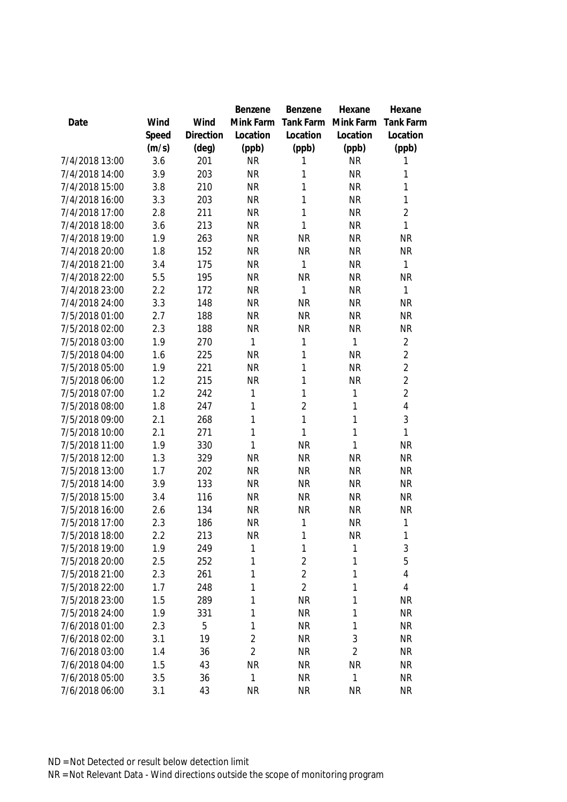|                                  |            |            | Benzene        | Benzene        | Hexane         | Hexane           |
|----------------------------------|------------|------------|----------------|----------------|----------------|------------------|
| Date                             | Wind       | Wind       | Mink Farm      | Tank Farm      | Mink Farm      | <b>Tank Farm</b> |
|                                  | Speed      | Direction  | Location       | Location       | Location       | Location         |
|                                  | (m/s)      | (deg)      | (ppb)          | (ppb)          | (ppb)          | (ppb)            |
| 7/4/2018 13:00                   | 3.6        | 201        | <b>NR</b>      | 1              | <b>NR</b>      | 1                |
| 7/4/2018 14:00                   | 3.9        | 203        | <b>NR</b>      | 1              | <b>NR</b>      | 1                |
| 7/4/2018 15:00                   | 3.8        | 210        | <b>NR</b>      | $\mathbf{1}$   | <b>NR</b>      | 1                |
| 7/4/2018 16:00                   | 3.3        | 203        | <b>NR</b>      | 1              | <b>NR</b>      | 1                |
| 7/4/2018 17:00                   | 2.8        | 211        | <b>NR</b>      | $\mathbf{1}$   | <b>NR</b>      | $\overline{2}$   |
| 7/4/2018 18:00                   | 3.6        | 213        | <b>NR</b>      | $\mathbf{1}$   | <b>NR</b>      | $\mathbf{1}$     |
| 7/4/2018 19:00                   | 1.9        | 263        | <b>NR</b>      | <b>NR</b>      | <b>NR</b>      | <b>NR</b>        |
| 7/4/2018 20:00                   | 1.8        | 152        | <b>NR</b>      | <b>NR</b>      | <b>NR</b>      | <b>NR</b>        |
| 7/4/2018 21:00                   | 3.4        | 175        | <b>NR</b>      | 1              | <b>NR</b>      | 1                |
| 7/4/2018 22:00                   | 5.5        | 195        | <b>NR</b>      | <b>NR</b>      | <b>NR</b>      | <b>NR</b>        |
| 7/4/2018 23:00                   | 2.2        | 172        | <b>NR</b>      | $\mathbf{1}$   | <b>NR</b>      | $\mathbf{1}$     |
| 7/4/2018 24:00                   | 3.3        | 148        | <b>NR</b>      | <b>NR</b>      | <b>NR</b>      | <b>NR</b>        |
| 7/5/2018 01:00                   | 2.7        | 188        | <b>NR</b>      | <b>NR</b>      | <b>NR</b>      | <b>NR</b>        |
| 7/5/2018 02:00                   | 2.3        | 188        | <b>NR</b>      | <b>NR</b>      | <b>NR</b>      | <b>NR</b>        |
| 7/5/2018 03:00                   | 1.9        | 270        | $\mathbf{1}$   | 1              | 1              | $\overline{2}$   |
| 7/5/2018 04:00                   | 1.6        | 225        | <b>NR</b>      | $\mathbf{1}$   | <b>NR</b>      | $\overline{2}$   |
| 7/5/2018 05:00                   | 1.9        | 221        | <b>NR</b>      | 1              | <b>NR</b>      | $\overline{2}$   |
| 7/5/2018 06:00                   | 1.2        | 215        | <b>NR</b>      | $\mathbf{1}$   | <b>NR</b>      | $\overline{2}$   |
| 7/5/2018 07:00                   | 1.2        | 242        | 1              | $\mathbf{1}$   | 1              | $\overline{2}$   |
| 7/5/2018 08:00                   | 1.8        | 247        | 1              | $\overline{2}$ | 1              | $\overline{4}$   |
| 7/5/2018 09:00                   | 2.1        | 268        | 1              | $\mathbf{1}$   | 1              | 3                |
| 7/5/2018 10:00                   | 2.1        | 271        | 1              | $\mathbf{1}$   | 1              | 1                |
| 7/5/2018 11:00                   | 1.9        | 330        | 1              | <b>NR</b>      | 1              | <b>NR</b>        |
| 7/5/2018 12:00                   | 1.3        | 329        | <b>NR</b>      | <b>NR</b>      | <b>NR</b>      | <b>NR</b>        |
| 7/5/2018 13:00                   | 1.7        | 202        | <b>NR</b>      | <b>NR</b>      | <b>NR</b>      | NR.              |
| 7/5/2018 14:00                   | 3.9        | 133        | <b>NR</b>      | <b>NR</b>      | <b>NR</b>      | <b>NR</b>        |
| 7/5/2018 15:00                   | 3.4        | 116        | <b>NR</b>      | <b>NR</b>      | <b>NR</b>      | <b>NR</b>        |
| 7/5/2018 16:00                   | 2.6        | 134        | <b>NR</b>      | <b>NR</b>      | <b>NR</b>      | <b>NR</b>        |
| 7/5/2018 17:00                   | 2.3        | 186        | <b>NR</b>      | 1              | <b>NR</b>      | 1                |
| 7/5/2018 18:00                   | 2.2        | 213        | <b>NR</b>      | $\mathbf{1}$   | <b>NR</b>      | 1                |
| 7/5/2018 19:00                   | 1.9        | 249        | 1              | 1              | 1              | 3                |
| 7/5/2018 20:00                   | 2.5        | 252        | 1              | $\overline{2}$ | 1              | 5                |
|                                  |            |            | 1              | $\overline{2}$ |                |                  |
| 7/5/2018 21:00<br>7/5/2018 22:00 | 2.3<br>1.7 | 261<br>248 | 1              | $\overline{2}$ | 1              | 4<br>4           |
| 7/5/2018 23:00                   |            |            |                |                | 1              |                  |
|                                  | 1.5        | 289        | 1              | <b>NR</b>      | 1              | <b>NR</b>        |
| 7/5/2018 24:00                   | 1.9        | 331        | 1              | <b>NR</b>      | 1              | <b>NR</b>        |
| 7/6/2018 01:00                   | 2.3        | 5          | 1              | <b>NR</b>      | 1              | <b>NR</b>        |
| 7/6/2018 02:00                   | 3.1        | 19         | $\overline{2}$ | <b>NR</b>      | 3              | <b>NR</b>        |
| 7/6/2018 03:00                   | 1.4        | 36         | $\overline{2}$ | <b>NR</b>      | $\overline{2}$ | <b>NR</b>        |
| 7/6/2018 04:00                   | 1.5        | 43         | <b>NR</b>      | <b>NR</b>      | <b>NR</b>      | <b>NR</b>        |
| 7/6/2018 05:00                   | 3.5        | 36         | 1              | <b>NR</b>      | 1              | <b>NR</b>        |
| 7/6/2018 06:00                   | 3.1        | 43         | <b>NR</b>      | <b>NR</b>      | <b>NR</b>      | <b>NR</b>        |